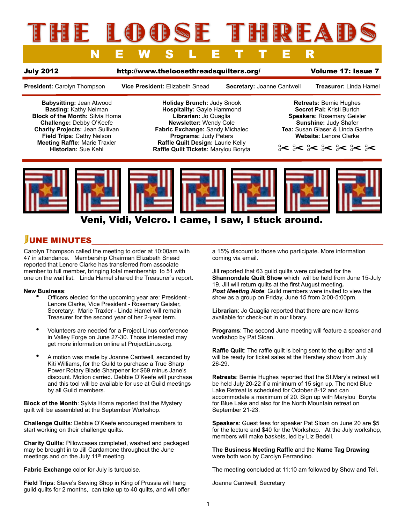# IE LOOSSE THREAD NEWSLETTER

### July 2012 <http://www.theloosethreadsquilters.org/>Volume 17: Issue 7

**President:** Carolyn Thompson **Vice President:** Elizabeth Snead **Secretary:** Joanne Cantwell **Treasurer:** Linda Hamel

**Babysitting:** Jean Atwood **Basting:** Kathy Neiman **Block of the Month:** Silvia Homa **Challenge:** Debby O'Keefe **Charity Projects:** Jean Sullivan **Field Trips:** Cathy Nelson **Meeting Raffle:** Marie Traxler **Historian:** Sue Kehl

**Holiday Brunch:** Judy Snook **Hospitality:** Gayle Hammond **Librarian:** Jo Quaglia **Newsletter:** Wendy Cole **Fabric Exchange:** Sandy Michalec **Programs:** Judy Peters **Raffle Quilt Design:** Laurie Kelly **Raffle Quilt Tickets:** Marylou Boryta

**Retreats:** Bernie Hughes **Secret Pal:** Kristi Burtch **Speakers:** Rosemary Geisler **Sunshine:** Judy Shafer **Tea:** Susan Glaser & Linda Garthe **Website:** Lenore Clarke

✂ ✂ ✂ ✂ ✂ ✂ ✂



## Veni, Vidi, Velcro. I came, I saw, I stuck around.

# JUNE MINUTES

Carolyn Thompson called the meeting to order at 10:00am with 47 in attendance. Membership Chairman Elizabeth Snead reported that Lenore Clarke has transferred from associate member to full member, bringing total membership to 51 with one on the wait list. Linda Hamel shared the Treasurer's report.

### **New Business**:

- Officers elected for the upcoming year are: President Lenore Clarke, Vice President - Rosemary Geisler, Secretary: Marie Traxler - Linda Hamel will remain Treasurer for the second year of her 2-year term.
- Volunteers are needed for a Project Linus conference in Valley Forge on June 27-30. Those interested may get more information online at ProjectLinus.org.
- A motion was made by Joanne Cantwell, seconded by Kiti Williams, for the Guild to purchase a True Sharp Power Rotary Blade Sharpener for \$69 minus Jane's discount. Motion carried. Debbie O'Keefe will purchase and this tool will be available for use at Guild meetings by all Guild members.

**Block of the Month**: Sylvia Homa reported that the Mystery quilt will be assembled at the September Workshop.

**Challenge Quilts**: Debbie O'Keefe encouraged members to start working on their challenge quilts.

**Charity Quilts**: Pillowcases completed, washed and packaged may be brought in to Jill Cardamone throughout the June meetings and on the July 11<sup>th</sup> meeting.

**Fabric Exchange** color for July is turquoise.

**Field Trips**: Steve's Sewing Shop in King of Prussia will hang guild quilts for 2 months, can take up to 40 quilts, and will offer

a 15% discount to those who participate. More information coming via email.

Jill reported that 63 guild quilts were collected for the **Shannondale Quilt Show** which will be held from June 15-July 19. Jill will return quilts at the first August meeting*. Post Meeting Note*: Guild members were invited to view the show as a group on Friday, June 15 from 3:00-5:00pm.

**Librarian**: Jo Quaglia reported that there are new items available for check-out in our library.

**Programs**: The second June meeting will feature a speaker and workshop by Pat Sloan.

**Raffle Quilt:** The raffle quilt is being sent to the quilter and all will be ready for ticket sales at the Hershey show from July 26-29.

**Retreats**: Bernie Hughes reported that the St.Mary's retreat will be held July 20-22 if a minimum of 15 sign up. The next Blue Lake Retreat is scheduled for October 8-12 and can accommodate a maximum of 20. Sign up with Marylou Boryta for Blue Lake and also for the North Mountain retreat on September 21-23.

**Speakers**: Guest fees for speaker Pat Sloan on June 20 are \$5 for the lecture and \$40 for the Workshop. At the July workshop, members will make baskets, led by Liz Bedell.

**The Business Meeting Raffle** and the **Name Tag Drawing** were both won by Carolyn Ferrandino.

The meeting concluded at 11:10 am followed by Show and Tell.

Joanne Cantwell, Secretary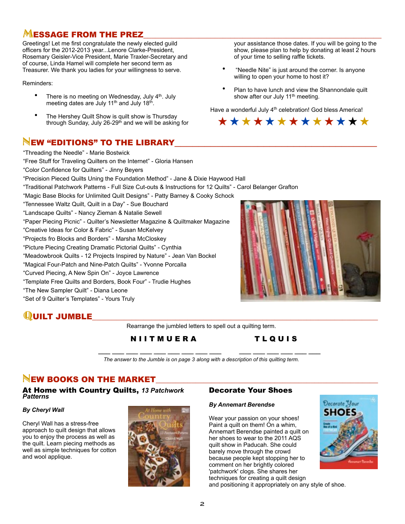# $M$ ESSAGE FROM THE PREZ

Greetings! Let me first congratulate the newly elected guild officers for the 2012-2013 year...Lenore Clarke-President, Rosemary Geisler-Vice President, Marie Traxler-Secretary and of course, Linda Hamel will complete her second term as Treasurer. We thank you ladies for your willingness to serve.

Reminders:

- There is no meeting on Wednesday, July 4<sup>th</sup>. July meeting dates are July 11<sup>th</sup> and July 18<sup>th</sup>.
- The Hershey Quilt Show is quilt show is Thursday through Sunday, July 26-29<sup>th</sup> and we will be asking for

# <sup>N</sup>EW "EDITIONS" TO THE LIBRARY\_\_\_\_\_\_\_\_\_\_\_\_\_\_\_\_\_\_\_\_\_\_\_\_\_\_\_\_\_\_\_\_\_\_ "Threading the Needle" - Marie Bostwick

your assistance those dates. If you will be going to the show, please plan to help by donating at least 2 hours of your time to selling raffle tickets.

- "Needle Nite" is just around the corner. Is anyone willing to open your home to host it?
- Plan to have lunch and view the Shannondale quilt show after our July 11<sup>th</sup> meeting.

Have a wonderful July 4<sup>th</sup> celebration! God bless America!



"Free Stuff for Traveling Quilters on the Internet" - Gloria Hansen "Color Confidence for Quilters" - Jinny Beyers "Precision Pieced Quilts Uning the Foundation Method" - Jane & Dixie Haywood Hall "Traditional Patchwork Patterns - Full Size Cut-outs & Instructions for 12 Quilts" - Carol Belanger Grafton "Magic Base Blocks for Unlimited Quilt Designs" - Patty Barney & Cooky Schock "Tennessee Waltz Quilt, Quilt in a Day" - Sue Bouchard "Landscape Quilts" - Nancy Zieman & Natalie Sewell "Paper Piecing Picnic" - Quilter's Newsletter Magazine & Quiltmaker Magazine "Creative Ideas for Color & Fabric" - Susan McKelvey "Projects fro Blocks and Borders" - Marsha McCloskey "Picture Piecing Creating Dramatic Pictorial Quilts" - Cynthia "Meadowbrook Quilts - 12 Projects Inspired by Nature" - Jean Van Bockel "Magical Four-Patch and Nine-Patch Quilts" - Yvonne Porcalla "Curved Piecing, A New Spin On" - Joyce Lawrence "Template Free Quilts and Borders, Book Four" - Trudie Hughes "The New Sampler Quilt" - Diana Leone "Set of 9 Quilter's Templates" - Yours Truly



# $\mathbf Q$ UILT JUMBLE

Rearrange the jumbled letters to spell out a quilting term.

N I I T M U E R A T L Q U I S

 **\_\_\_ \_\_\_ \_\_\_ \_\_\_ \_\_\_ \_\_\_ \_\_\_ \_\_\_ \_\_\_ \_\_\_ \_\_\_ \_\_\_ \_\_\_ \_\_\_ \_\_\_** *The answer to the Jumble is on page 3 along with a description of this quilting term.*

# NEW BOOKS ON THE MARKET

At Home with Country Quilts, *13 Patchwork Patterns*

### *By Cheryl Wall*

Cheryl Wall has a stress-free approach to quilt design that allows you to enjoy the process as well as the quilt. Learn piecing methods as well as simple techniques for cotton and wool applique.



## Decorate Your Shoes

### *By Annemart Berendse*

 techniques for creating a quilt design Wear your passion on your shoes! Paint a quilt on them! On a whim, Annemart Berendse painted a quilt on her shoes to wear to the 2011 AQS quilt show in Paducah. She could barely move through the crowd because people kept stopping her to comment on her brightly colored 'patchwork' clogs. She shares her



and positioning it appropriately on any style of shoe.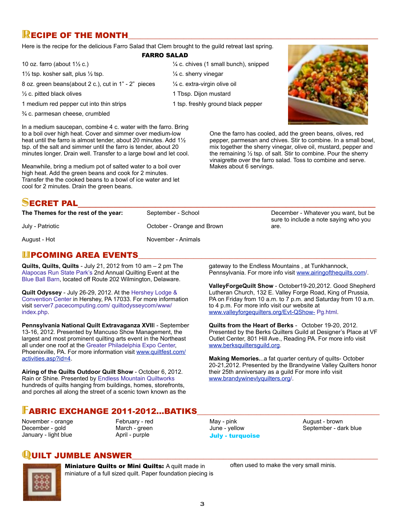# $\mathbb R$  ECIPE OF THE MONTH

Here is the recipe for the delicious Farro Salad that Clem brought to the guild retreat last spring.

### FARRO SALAD

- 10 oz. farro (about  $1\frac{1}{2}$  c.)
- 1½ tsp. kosher salt, plus ½ tsp.
- 8 oz. green beans(about 2 c.), cut in 1" 2" pieces
- ½ c. pitted black olives
- 1 medium red pepper cut into thin strips
- ¾ c. parmesan cheese, crumbled

In a medium saucepan, combine 4 c. water with the farro. Bring to a boil over high heat. Cover and simmer over medium-low heat until the farro is almost tender, about 20 minutes. Add 1½ tsp. of the salt and simmer until the farro is tender, about 20 minutes longer. Drain well. Transfer to a large bowl and let cool.

Meanwhile, bring a medium pot of salted water to a boil over high heat. Add the green beans and cook for 2 minutes. Transfer the the cooked beans to a bowl of ice water and let cool for 2 minutes. Drain the green beans.

# $\frac{1}{4}$  c. chives (1 small bunch), snipped  $\frac{1}{4}$  c. sherry vinegar ¼ c. extra-virgin olive oil 1 Tbsp. Dijon mustard 1 tsp. freshly ground black pepper



One the farro has cooled, add the green beans, olives, red pepper, parmesan and chives. Stir to combine. In a small bowl, mix together the sherry vinegar, olive oil, mustard, pepper and the remaining ½ tsp. of salt. Stir to combine. Pour the sherry vinaigrette over the farro salad. Toss to combine and serve. Makes about 6 servings.

# SECRET PAL\_\_\_\_\_\_\_\_\_\_\_\_\_\_\_\_\_\_\_\_\_\_\_\_\_\_\_\_\_\_\_\_\_\_\_\_\_\_\_\_\_\_\_\_\_\_\_\_\_\_

| The Themes for the rest of the year: | September - School         |
|--------------------------------------|----------------------------|
| July - Patriotic                     | October - Orange and Brown |
| August - Hot                         | November - Animals         |

December - Whatever you want, but be sure to include a note saying who you are.

August - Hot

## **UPCOMING AREA EVENTS**

**Quilts, Quilts, Quilts** - July 21, 2012 from 10 am – 2 pm The Alapocas Run State Park's 2nd Annual Quilting Event at the Blue Ball Barn, located off Route 202 Wilmington, Delaware.

**Quilt Odyssey** - July 26-29, 2012. At the Hershey Lodge & Convention Center in Hershey, PA 17033. For more information visit server7.pacecomputing.com/ quiltodysseycom/www/ index.php.

**Pennsylvania National Quilt Extravaganza XVII**I - September 13-16, 2012. Presented by Mancuso Show Management, the largest and most prominent quilting arts event in the Northeast all under one roof at the Greater Philadelphia Expo Center, Phoenixville, PA. For more information visit [www.quiltfest.com/](http://www.quiltfest.com/activities.asp?id=4) [activities.asp?id=4.](http://www.quiltfest.com/activities.asp?id=4)

**Airing of the Quilts Outdoor Quilt Show** - October 6, 2012. Rain or Shine. Presented by Endless Mountain Quiltworks hundreds of quilts hanging from buildings, homes, storefronts, and porches all along the street of a scenic town known as the

# **FABRIC EXCHANGE 2011-2012...BATIKS**

November - orange December - gold January - light blue

February - red March - green April - purple

gateway to the Endless Mountains , at Tunkhannock, Pennsylvania. For more info visit [www.airingofthequilts.com/](http://www.airingofthequilts.com).

**ValleyForgeQuilt Show** - October19-20,2012. Good Shepherd Lutheran Church, 132 E. Valley Forge Road, King of Prussia, PA on Friday from 10 a.m. to 7 p.m. and Saturday from 10 a.m. to 4 p.m. For more info visit our website at [www.valleyforgequilters.org/Evt-QShow-](http://www.valleyforgequilters.org/Evt-QShow-) Pg.html.

**Quilts from the Heart of Berks** - October 19-20, 2012. Presented by the Berks Quilters Guild at Designer's Place at VF Outlet Center, 801 Hill Ave., Reading PA. For more info visit [www.berksquiltersguild.org.](http://www.berksquiltersguild.org)

**Making Memories.**..a fat quarter century of quilts- October 20-21,2012. Presented by the Brandywine Valley Quilters honor their 25th anniversary as a guild For more info visit [www.brandywinevlyquilters.org/](http://www.brandywinevlyquilters.org).

May - pink June - yellow July - turquoise August - brown September - dark blue

# UILT JUMBLE ANSWER



**[Miniature Quilts or Mini Quilts:](http://www.straw.com/equilters/library/logcabin/logcabin-quilts.html) A quilt made in** miniature of a full sized quilt. Paper foundation piecing is often used to make the very small minis.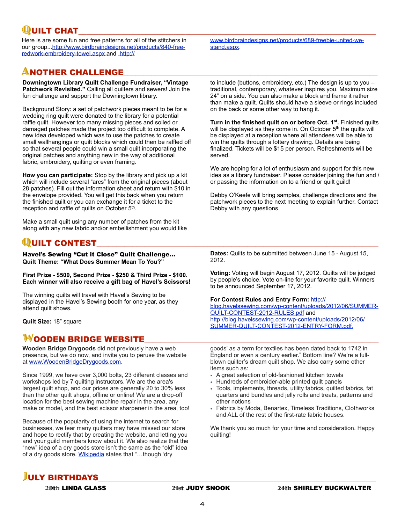**QUILT CHAT**<br>Here is are some fun and free patterns for all of the stitchers in www.birdbraindesigns.net/products/689-freebie-united-we-our group..[.http://www.birdbraindesigns.net/products/840-free](http://www.birdbraindesigns.net/products/840-free-redwork-embroidery-towel.aspx)[redwork-embroidery-towel.aspx](http://www.birdbraindesigns.net/products/840-free-redwork-embroidery-towel.aspx) and [http://](http://www.birdbraindesigns.net/products/689-freebie-united-we-stand.aspx)

# **ANOTHER CHALLENGE**

**Downingtown Library Quilt Challenge Fundraiser, "Vintage Patchwork Revisited."** Calling all quilters and sewers! Join the fun challenge and support the Downingtown library.

Background Story: a set of patchwork pieces meant to be for a wedding ring quilt were donated to the library for a potential raffle quilt. However too many missing pieces and soiled or damaged patches made the project too difficult to complete. A new idea developed which was to use the patches to create small wallhangings or quilt blocks which could then be raffled off so that several people could win a small quilt incorporating the original patches and anything new in the way of additional fabric, embroidery, quilting or even framing.

**How you can participate:** Stop by the library and pick up a kit which will include several "arcs" from the original pieces (about 28 patches). Fill out the information sheet and return with \$10 in the envelope provided. You will get this back when you return the finished quilt or you can exchange it for a ticket to the reception and raffle of quilts on October 5<sup>th</sup>.

Make a small quilt using any number of patches from the kit along with any new fabric and/or embellishment you would like

# **QUILT CONTEST**

Havel's Sewing "Cut it Close" Quilt Challenge... **Quilt Theme: "What Does Summer Mean To You?"** 

**First Prize - \$500, Second Prize - \$250 & Third Prize - \$100. Each winner will also receive a gift bag of Havel's Scissors!**

The winning quilts will travel with Havel's Sewing to be displayed in the Havel's Sewing booth for one year, as they attend quilt shows.

**Quilt Size:** 18" square

## WOODEN BRIDGE WEBSITE

**Wooden Bridge Drygoods** did not previously have a web presence, but we do now, and invite you to peruse the website at [www.WoodenBridgeDrygoods.com.](http://www.WoodenBridgeDrygoods.com/)

Since 1999, we have over 3,000 bolts, 23 different classes and workshops led by 7 quilting instructors. We are the area's largest quilt shop, and our prices are generally 20 to 30% less than the other quilt shops, offline or online! We are a drop-off location for the best sewing machine repair in the area, any make or model, and the best scissor sharpener in the area, too!

Because of the popularity of using the internet to search for businesses, we fear many quilters may have missed our store and hope to rectify that by creating the website, and letting you and your guild members know about it. We also realize that the "new" idea of a dry goods store isn't the same as the "old" idea of a dry goods store. [Wikipedia](http://en.wikipedia.org/wiki/Dry_goods) states that "…though 'dry

[www.birdbraindesigns.net/products/689-freebie-united-we](http://www.birdbraindesigns.net/products/689-freebie-united-we-stand.aspx)[stand.aspx.](http://www.birdbraindesigns.net/products/689-freebie-united-we-stand.aspx)

to include (buttons, embroidery, etc.) The design is up to you – traditional, contemporary, whatever inspires you. Maximum size 24" on a side. You can also make a block and frame it rather than make a quilt. Quilts should have a sleeve or rings included on the back or some other way to hang it.

**Turn in the finished quilt on or before Oct. 1st.** Finished quilts will be displayed as they come in. On October 5<sup>th</sup> the quilts will be displayed at a reception where all attendees will be able to win the quilts through a lottery drawing. Details are being finalized. Tickets will be \$15 per person. Refreshments will be served.

We are hoping for a lot of enthusiasm and support for this new idea as a library fundraiser. Please consider joining the fun and / or passing the information on to a friend or quilt guild!

Debby O'Keefe will bring samples, challenge directions and the patchwork pieces to the next meeting to explain further. Contact Debby with any questions.

**Dates:** Quilts to be submitted between June 15 - August 15, 2012.

**Voting:** Voting will begin August 17, 2012. Quilts will be judged by people's choice. Vote on-line for your favorite quilt. Winners to be announced September 17, 2012.

### **For Contest Rules and Entry Form:** [http://](http://blog.havelssewing.com/wp-content/uploads/2012/06/SUMMER-QUILT-CONTEST-2012-RULES.pdf)

[blog.havelssewing.com/wp-content/uploads/2012/06/SUMMER-](http://blog.havelssewing.com/wp-content/uploads/2012/06/SUMMER-QUILT-CONTEST-2012-RULES.pdf)[QUILT-CONTEST-2012-RULES.pdf](http://blog.havelssewing.com/wp-content/uploads/2012/06/SUMMER-QUILT-CONTEST-2012-RULES.pdf) and [http://blog.havelssewing.com/wp-content/uploads/2012/06/](http://blog.havelssewing.com/wp-content/uploads/2012/06/SUMMER-QUILT-CONTEST-2012-ENTRY-FORM.pdf) [SUMMER-QUILT-CONTEST-2012-ENTRY-FORM.pdf.](http://blog.havelssewing.com/wp-content/uploads/2012/06/SUMMER-QUILT-CONTEST-2012-ENTRY-FORM.pdf)

goods' as a term for textiles has been dated back to 1742 in England or even a century earlier." Bottom line? We're a fullblown quilter's dream quilt shop. We also carry some other items such as:

- A great selection of old-fashioned kitchen towels
- Hundreds of embroider-able printed quilt panels
- Tools, implements, threads, utility fabrics, quilted fabrics, fat quarters and bundles and jelly rolls and treats, patterns and other notions
- Fabrics by Moda, Benartex, Timeless Traditions, Clothworks and ALL of the rest of the first-rate fabric houses.

We thank you so much for your time and consideration. Happy quilting!

# **JULY BIRTHDAYS**